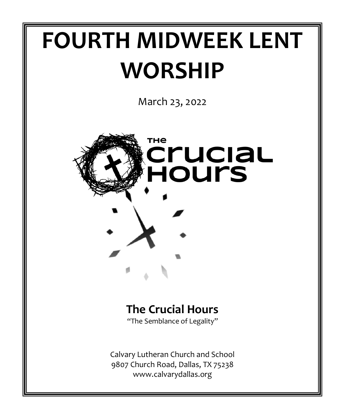# **FOURTH MIDWEEK LENT WORSHIP**

March 23, 2022



# **The Crucial Hours**

"The Semblance of Legality"

Calvary Lutheran Church and School 9807 Church Road, Dallas, TX 75238 www.calvarydallas.org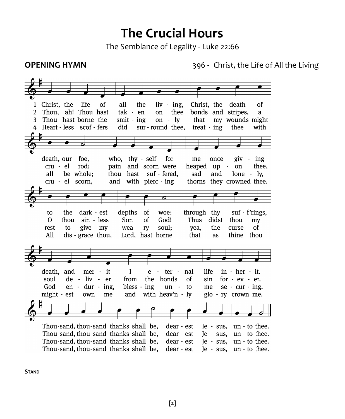# **The Crucial Hours**

The Semblance of Legality - Luke 22:66

**OPENING HYMN**<br> **396 - Christ, the Life of All the Living** 



**STAND**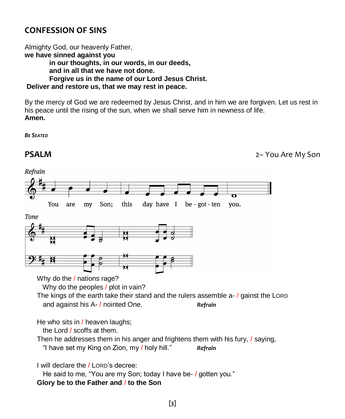## **CONFESSION OF SINS**

Almighty God, our heavenly Father, **we have sinned against you in our thoughts, in our words, in our deeds, and in all that we have not done. Forgive us in the name of our Lord Jesus Christ. Deliver and restore us, that we may rest in peace.** 

By the mercy of God we are redeemed by Jesus Christ, and in him we are forgiven. Let us rest in his peace until the rising of the sun, when we shall serve him in newness of life. **Amen.** 

*BE SEATED*

**PSALM** 2– You Are My Son Refrain You are my Son; this day have  $I$  be got ten you. Tone Why do the / nations rage? Why do the peoples / plot in vain? The kings of the earth take their stand and the rulers assemble a- / gainst the LORD and against his A- / nointed One. **Refrain** He who sits in / heaven laughs; the Lord / scoffs at them. Then he addresses them in his anger and frightens them with his fury, / saying, "I have set my King on Zion, my / holy hill." *Refrain* I will declare the / LORD's decree: He said to me, "You are my Son; today I have be- / gotten you." **Glory be to the Father and** / **to the Son**

**[3]**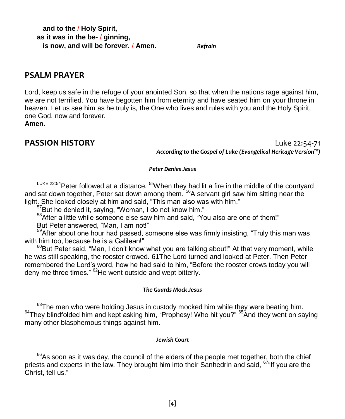**and to the** / **Holy Spirit, as it was in the be-** / **ginning, is now, and will be forever.** / **Amen.** *Refrain*

### **PSALM PRAYER**

Lord, keep us safe in the refuge of your anointed Son, so that when the nations rage against him, we are not terrified. You have begotten him from eternity and have seated him on your throne in heaven. Let us see him as he truly is, the One who lives and rules with you and the Holy Spirit, one God, now and forever.

**Amen.**

**PASSION HISTORY** Luke 22:54-71 *According to the Gospel of Luke (Evangelical Heritage Version™)*

#### *Peter Denies Jesus*

LUKE 22:54 Peter followed at a distance. <sup>55</sup>When they had lit a fire in the middle of the courtyard and sat down together, Peter sat down among them.<sup>56</sup>A servant girl saw him sitting near the light. She looked closely at him and said, "This man also was with him."

<sup>57</sup>But he denied it, saying, "Woman, I do not know him."

<sup>58</sup>After a little while someone else saw him and said, "You also are one of them!"

But Peter answered, "Man, I am not!"

<sup>59</sup>After about one hour had passed, someone else was firmly insisting, "Truly this man was with him too, because he is a Galilean!"

 $60$ But Peter said, "Man, I don't know what you are talking about!" At that very moment, while he was still speaking, the rooster crowed. 61The Lord turned and looked at Peter. Then Peter remembered the Lord's word, how he had said to him, "Before the rooster crows today you will deny me three times." <sup>62</sup>He went outside and wept bitterly.

#### *The Guards Mock Jesus*

 $63$ The men who were holding Jesus in custody mocked him while they were beating him.  $64$ They blindfolded him and kept asking him, "Prophesy! Who hit you?"  $65$ And they went on saying many other blasphemous things against him.

#### *Jewish Court*

 $66$ As soon as it was day, the council of the elders of the people met together, both the chief priests and experts in the law. They brought him into their Sanhedrin and said,  $67^{\circ}$  If you are the Christ, tell us."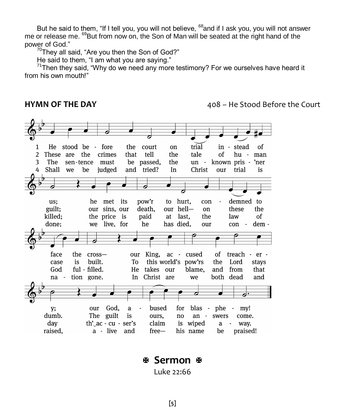But he said to them, "If I tell you, you will not believe, <sup>68</sup>and if I ask you, you will not answer me or release me. <sup>69</sup>But from now on, the Son of Man will be seated at the right hand of the power of God."

 $70$ They all said, "Are you then the Son of God?"

He said to them, "I am what you are saying."

 $71$ Then they said, "Why do we need any more testimony? For we ourselves have heard it from his own mouth!"

**HYMN OF THE DAY 108 – He Stood Before the Court** 



# **Sermon**

Luke 22:66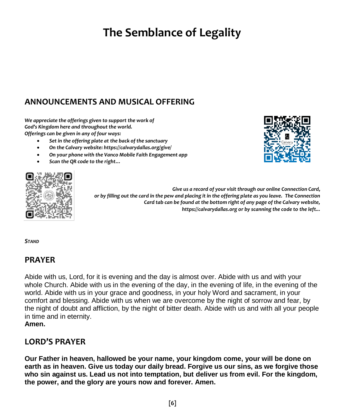# **The Semblance of Legality**

# **ANNOUNCEMENTS AND MUSICAL OFFERING**

*We appreciate the offerings given to support the work of God's Kingdom here and throughout the world. Offerings can be given in any of four ways:*

- *Set in the offering plate at the back of the sanctuary*
- *On the Calvary website: https://calvarydallas.org/give/*
- *On your phone with the Vanco Mobile Faith Engagement app*
- *Scan the QR code to the right…*



*Give us a record of your visit through our online Connection Card, or by filling out the card in the pew and placing it in the offering plate as you leave. The Connection Card tab can be found at the bottom right of any page of the Calvary website, https://calvarydallas.org or by scanning the code to the left...*

*STAND*

#### **PRAYER**

Abide with us, Lord, for it is evening and the day is almost over. Abide with us and with your whole Church. Abide with us in the evening of the day, in the evening of life, in the evening of the world. Abide with us in your grace and goodness, in your holy Word and sacrament, in your comfort and blessing. Abide with us when we are overcome by the night of sorrow and fear, by the night of doubt and affliction, by the night of bitter death. Abide with us and with all your people in time and in eternity.

**Amen.** 

### **LORD'S PRAYER**

**Our Father in heaven, hallowed be your name, your kingdom come, your will be done on earth as in heaven. Give us today our daily bread. Forgive us our sins, as we forgive those who sin against us. Lead us not into temptation, but deliver us from evil. For the kingdom, the power, and the glory are yours now and forever. Amen.**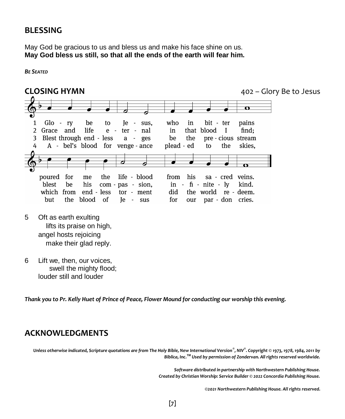#### **BLESSING**

May God be gracious to us and bless us and make his face shine on us. **May God bless us still, so that all the ends of the earth will fear him.**

*BE SEATED*

**CLOSING HYMN** 402 – Glory Be to Jesus  $\overline{\mathbf{r}}$ Glo who 1  $-rv$ be to Ie  $\overline{a}$ sus, in bit ter pains  $\overline{2}$ Grace and life e  $\sim$ ter  $\sim$ nal in that blood  $\mathbf I$ find: Blest through end - less 3 a  $\overline{\phantom{a}}$ ges be the pre - cious stream A - bel's blood for venge - ance plead - ed to the skies, poured for me the life - blood from his sa - cred veins.  $in - f<sub>1</sub> - nite - ly$ blest be his com pas - sion, kind. which from end - less tor - ment did the world re - deem. par - don cries. but the blood <sub>of</sub> **Je**  $\sim$ sus for our 5 Oft as earth exulting lifts its praise on high, angel hosts rejoicing make their glad reply.

6 Lift we, then, our voices, swell the mighty flood; louder still and louder

*Thank you to Pr. Kelly Huet of Prince of Peace, Flower Mound for conducting our worship this evening.*

#### **ACKNOWLEDGMENTS**

*Unless otherwise indicated, Scripture quotations are from The Holy Bible, New International Version® , NIV® . Copyright © 1973, 1978, 1984, 2011 by Biblica, Inc.TM Used by permission of Zondervan. All rights reserved worldwide.*

> *Software distributed in partnership with Northwestern Publishing House. Created by Christian Worship: Service Builder © 2022 Concordia Publishing House.*

> > *©2021 Northwestern Publishing House. All rights reserved.*